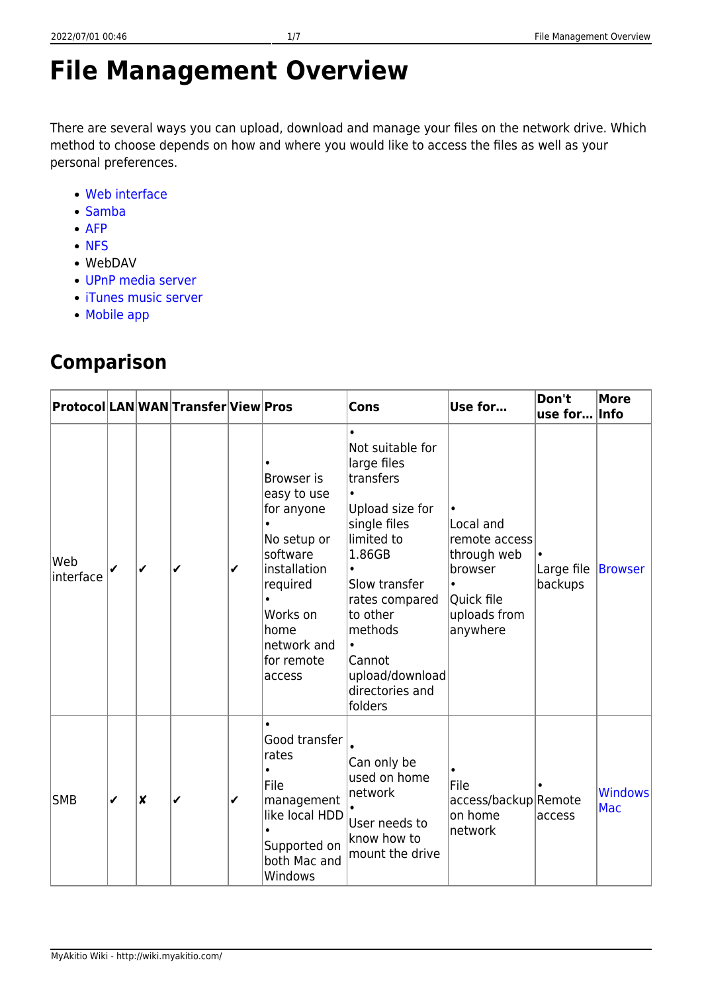- $\bullet$  [AFP](http://wiki.myakitio.com/services_afp)
- [NFS](http://wiki.myakitio.com/services_nfs)
- WebDAV

personal preferences.

[Web interface](http://wiki.myakitio.com/applications_my_cloud)

- [UPnP media server](http://wiki.myakitio.com/services_media_server)
- [iTunes music server](http://wiki.myakitio.com/services_itunes)
- [Mobile app](http://wiki.myakitio.com/home#related_software)

# **Comparison**

|                  |   |                  | Protocol LAN WAN Transfer View Pros |              |                                                                                                                                                           | <b>Cons</b>                                                                                                                                                                                                                                            | Use for                                                                                        | Don't<br>use for      | More<br>Info          |
|------------------|---|------------------|-------------------------------------|--------------|-----------------------------------------------------------------------------------------------------------------------------------------------------------|--------------------------------------------------------------------------------------------------------------------------------------------------------------------------------------------------------------------------------------------------------|------------------------------------------------------------------------------------------------|-----------------------|-----------------------|
| Web<br>interface | ✔ | $\checkmark$     | ✔                                   | $\checkmark$ | Browser is<br>easy to use<br>for anyone<br>No setup or<br>software<br>installation<br>required<br>Works on<br>home<br>network and<br>for remote<br>access | $\bullet$<br>Not suitable for<br>large files<br>transfers<br>Upload size for<br>single files<br>limited to<br>1.86GB<br>Slow transfer<br>rates compared<br>to other<br>methods<br>$\bullet$<br>Cannot<br>upload/download<br>directories and<br>folders | Local and<br>remote access<br>through web<br>browser<br>Quick file<br>uploads from<br>anywhere | Large file<br>backups | <b>Browser</b>        |
| <b>SMB</b>       | ✔ | $\boldsymbol{x}$ | ✔                                   | $\checkmark$ | Good transfer<br>rates<br>File<br>management<br>like local HDD<br>Supported on<br>both Mac and<br>Windows                                                 | Can only be<br>used on home<br>network<br>User needs to<br>know how to<br>mount the drive                                                                                                                                                              | File<br>access/backup Remote<br>on home<br>network                                             | access                | <b>Windows</b><br>Mac |

There are several ways you can upload, download and manage your files on the network drive. Which

method to choose depends on how and where you would like to access the files as well as your

**File Management Overview**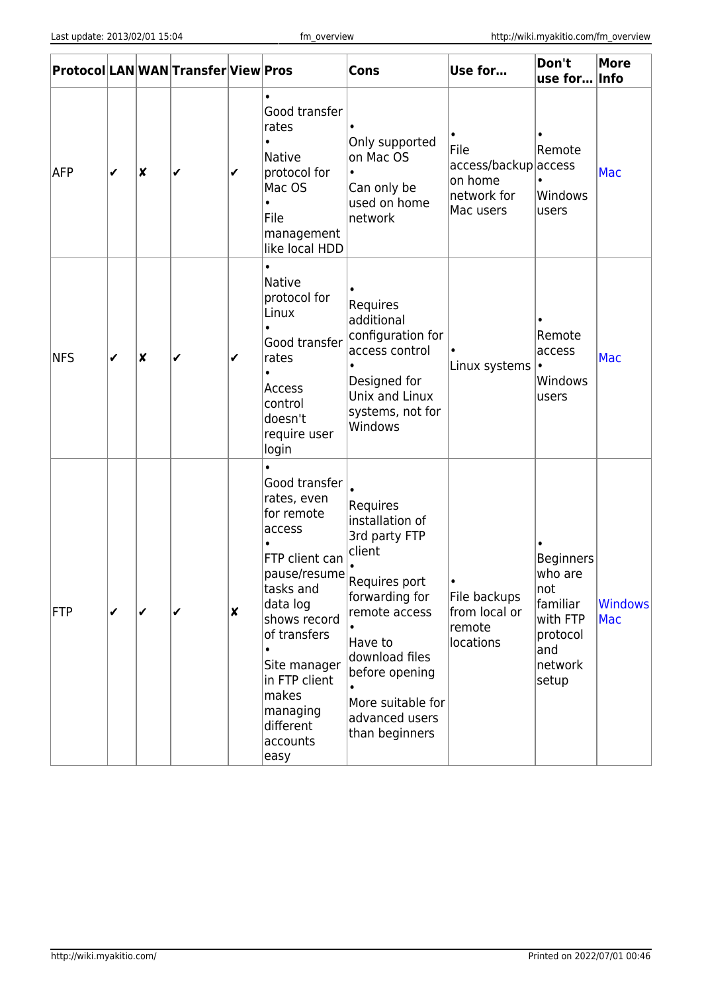|                  |              |                  | Protocol LAN WAN Transfer View Pros |                    |                                                                                                                                                                                                                                        | Cons                                                                                                                                                                                                                            | Use for                                                             | Don't<br>use for Info                                                                              | <b>More</b>           |
|------------------|--------------|------------------|-------------------------------------|--------------------|----------------------------------------------------------------------------------------------------------------------------------------------------------------------------------------------------------------------------------------|---------------------------------------------------------------------------------------------------------------------------------------------------------------------------------------------------------------------------------|---------------------------------------------------------------------|----------------------------------------------------------------------------------------------------|-----------------------|
| AFP              | ✔            | $\boldsymbol{x}$ | ✔                                   | ✔                  | Good transfer<br>rates<br><b>Native</b><br>protocol for<br>Mac OS<br>File<br>management<br>like local HDD                                                                                                                              | Only supported<br>on Mac OS<br>$\bullet$<br>Can only be<br>used on home<br>network                                                                                                                                              | File<br>access/backup access<br>on home<br>network for<br>Mac users | Remote<br>Windows<br>users                                                                         | Mac                   |
| NFS              | ✔            | $\boldsymbol{x}$ | ✔                                   | ✔                  | <b>Native</b><br>protocol for<br>Linux<br>Good transfer<br>rates<br>Access<br>control<br>doesn't<br>require user<br>login                                                                                                              | Requires<br>additional<br>configuration for<br>access control<br>Designed for<br>Unix and Linux<br>systems, not for<br>Windows                                                                                                  | Linux systems                                                       | Remote<br>access<br>Windows<br>users                                                               | <b>Mac</b>            |
| $ \mathsf{FTP} $ | $\checkmark$ | ✔                | ✔                                   | $\pmb{\mathsf{x}}$ | Good transfer<br>rates, even<br>for remote<br>access<br>FTP client can<br>pause/resume<br>tasks and<br>data log<br>shows record<br>of transfers<br>Site manager<br>in FTP client<br>makes<br>managing<br>different<br>accounts<br>easy | Requires<br>installation of<br>3rd party FTP<br>client<br>Requires port<br>forwarding for<br>remote access<br>Have to<br>download files<br>before opening<br>$\bullet$<br>More suitable for<br>advanced users<br>than beginners | File backups<br>from local or<br>remote<br>locations                | <b>Beginners</b><br>who are<br> not<br>familiar<br>with FTP<br>protocol<br>and<br>network<br>setup | <b>Windows</b><br>Mac |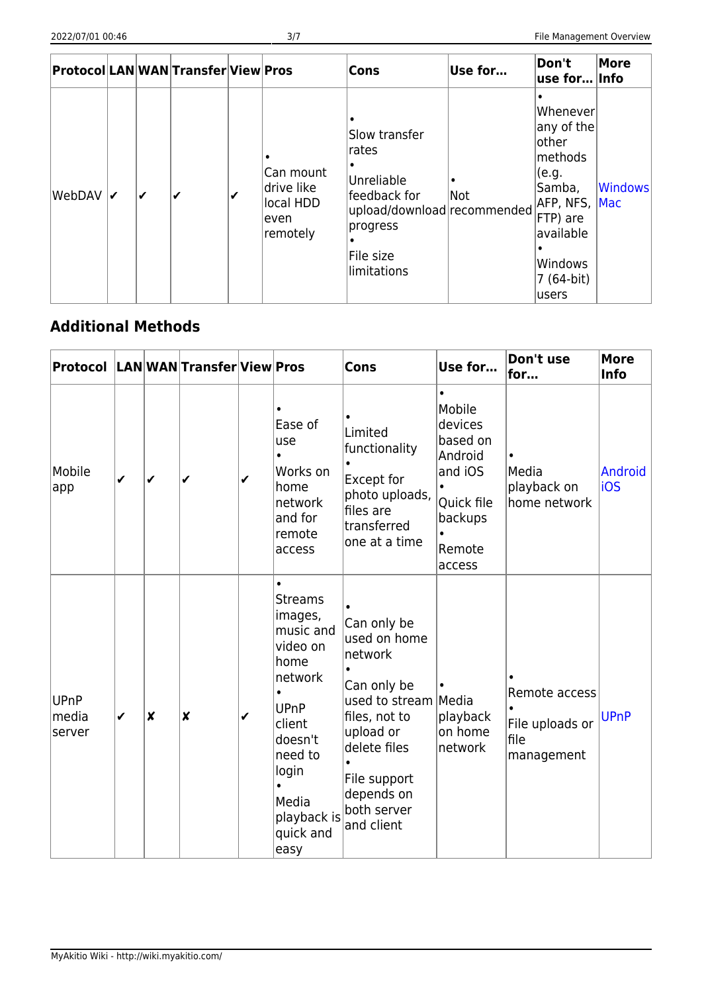|        |   |   | Protocol LAN WAN Transfer View Pros |   |                                                          | Cons                                                                                                                        | Use for | Don't<br>use for… lInfo                                                                                                                     | More           |
|--------|---|---|-------------------------------------|---|----------------------------------------------------------|-----------------------------------------------------------------------------------------------------------------------------|---------|---------------------------------------------------------------------------------------------------------------------------------------------|----------------|
| WebDAV | ✔ | ✔ |                                     | ✔ | Can mount<br>drive like<br>local HDD<br>even<br>remotely | Slow transfer<br>rates<br>Unreliable<br>feedback for<br>upload/download recommended<br>progress<br>File size<br>limitations | Not     | Whenever<br>any of the<br>lother<br>methods<br>(e.g.<br>Samba,<br>AFP, NFS, Mac<br>FTP) are<br>available<br>Windows<br>7 (64-bit)<br>lusers | <b>Windows</b> |

### **Additional Methods**

| Protocol LANWANTransferViewPros |              |                  |                  |   |                                                                                                                                                                                         | <b>Cons</b>                                                                                                                                                                            | Use for                                                                                                       | Don't use<br>for                                       | <b>More</b><br><b>Info</b> |
|---------------------------------|--------------|------------------|------------------|---|-----------------------------------------------------------------------------------------------------------------------------------------------------------------------------------------|----------------------------------------------------------------------------------------------------------------------------------------------------------------------------------------|---------------------------------------------------------------------------------------------------------------|--------------------------------------------------------|----------------------------|
| Mobile<br> app                  | $\checkmark$ | ✔                | ✔                | ✔ | $\bullet$<br>Ease of<br>use<br>Works on<br>home<br>network<br>and for<br>remote<br>access                                                                                               | Limited<br>functionality<br><b>Except for</b><br>photo uploads,<br>files are<br>transferred<br>one at a time                                                                           | Mobile<br>devices<br>based on<br>Android<br>and iOS<br>$\bullet$<br>Quick file<br>backups<br>Remote<br>access | Media<br>playback on<br>home network                   | Android<br>iOS             |
| UPnP<br>media<br>server         | ✔            | $\boldsymbol{x}$ | $\boldsymbol{x}$ | ✔ | $\bullet$<br><b>Streams</b><br>images,<br>music and<br>video on<br>home<br>network<br><b>UPnP</b><br>client<br>doesn't<br>need to<br>login<br>Media<br>playback is<br>quick and<br>easy | Can only be<br>used on home<br>network<br>Can only be<br>used to stream Media<br>files, not to<br>upload or<br>delete files<br>File support<br>depends on<br>both server<br>and client | playback<br>on home<br>network                                                                                | Remote access<br>File uploads or<br>file<br>management | <b>UPnP</b>                |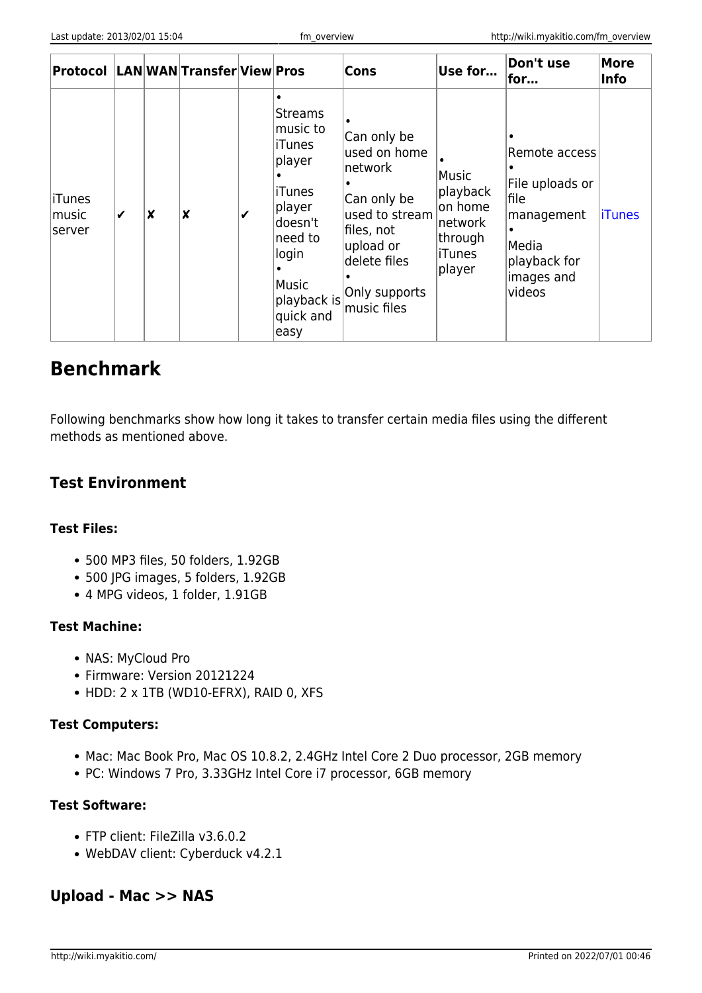| Protocol LANWANTransferViewPros |              |   |   |   |                                                                                                                                                               | <b>Cons</b>                                                                                                                                        | Use for                                                                           | Don't use<br>for                                                                                        | More<br>Info  |
|---------------------------------|--------------|---|---|---|---------------------------------------------------------------------------------------------------------------------------------------------------------------|----------------------------------------------------------------------------------------------------------------------------------------------------|-----------------------------------------------------------------------------------|---------------------------------------------------------------------------------------------------------|---------------|
| iTunes<br>lmusic<br> server     | $\checkmark$ | X | X | ✔ | <b>Streams</b><br>music to<br><b>iTunes</b><br>player<br><b>iTunes</b><br>player<br>doesn't<br>need to<br>llogin<br>Music<br>playback is<br>quick and<br>easy | Can only be<br>used on home<br>network<br>Can only be<br>used to stream<br>files, not<br>upload or<br>delete files<br>Only supports<br>music files | Music<br>playback<br>on home<br> network <br> through<br><b>liTunes</b><br>player | Remote access<br>File uploads or<br>file<br>management<br>Media<br>playback for<br>images and<br>videos | <b>iTunes</b> |

## **Benchmark**

Following benchmarks show how long it takes to transfer certain media files using the different methods as mentioned above.

### **Test Environment**

#### **Test Files:**

- 500 MP3 files, 50 folders, 1.92GB
- 500 JPG images, 5 folders, 1.92GB
- 4 MPG videos, 1 folder, 1.91GB

#### **Test Machine:**

- NAS: MyCloud Pro
- Firmware: Version 20121224
- HDD: 2 x 1TB (WD10-EFRX), RAID 0, XFS

#### **Test Computers:**

- Mac: Mac Book Pro, Mac OS 10.8.2, 2.4GHz Intel Core 2 Duo processor, 2GB memory
- PC: Windows 7 Pro, 3.33GHz Intel Core i7 processor, 6GB memory

#### **Test Software:**

- FTP client: FileZilla v3.6.0.2
- WebDAV client: Cyberduck v4.2.1

#### **Upload - Mac >> NAS**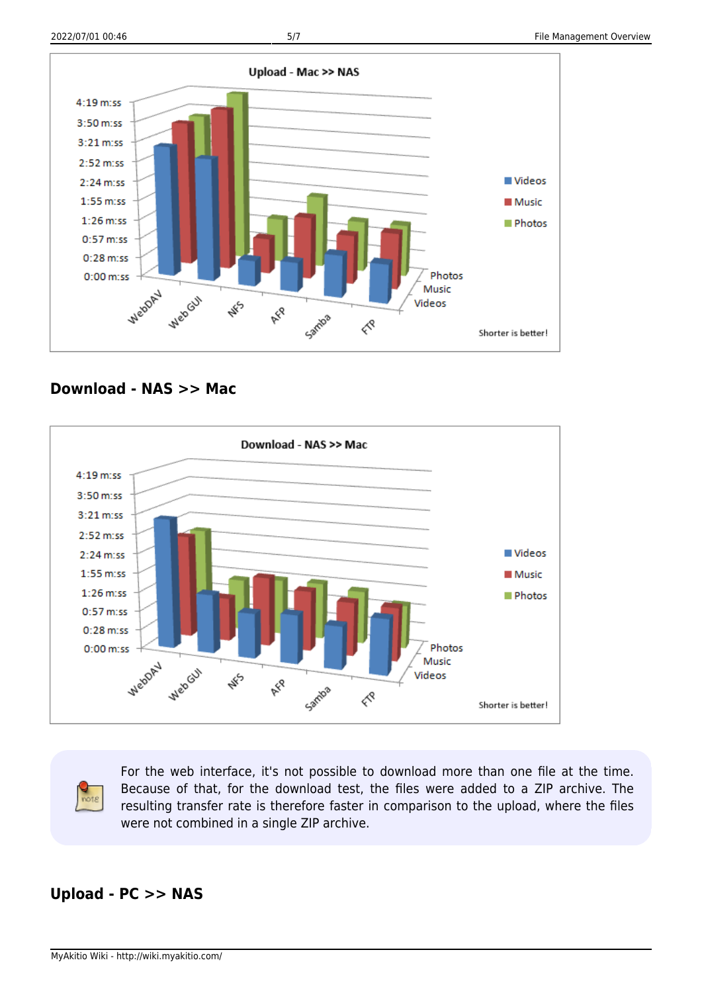

**Download - NAS >> Mac**



For the web interface, it's not possible to download more than one file at the time. Because of that, for the download test, the files were added to a ZIP archive. The resulting transfer rate is therefore faster in comparison to the upload, where the files were not combined in a single ZIP archive.

### **Upload - PC >> NAS**

note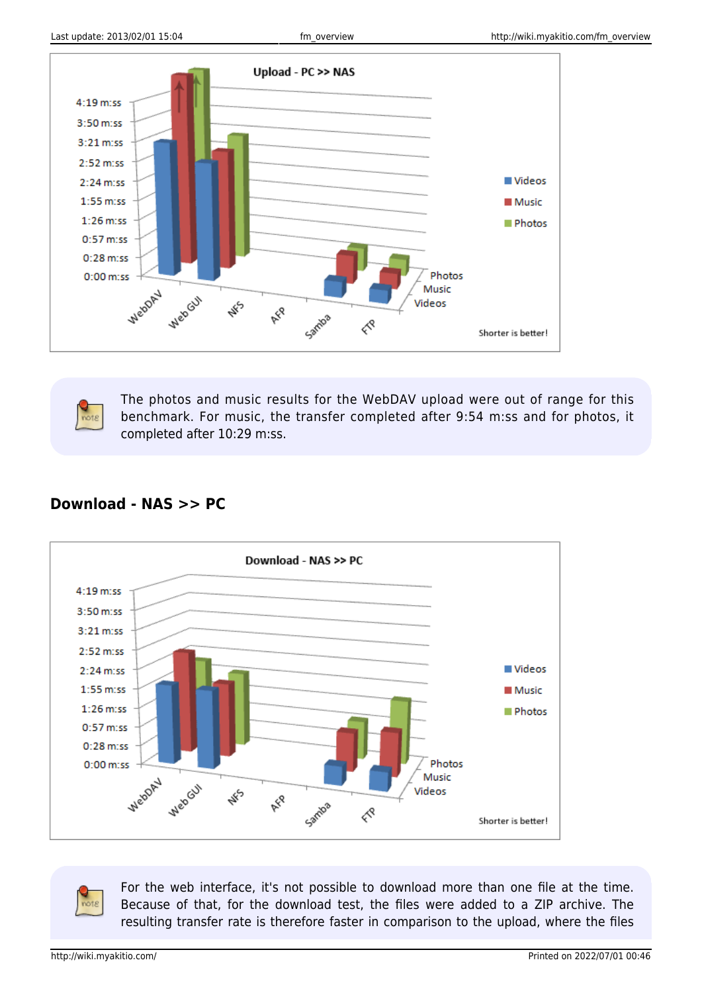

The photos and music results for the WebDAV upload were out of range for this benchmark. For music, the transfer completed after 9:54 m:ss and for photos, it completed after 10:29 m:ss.



#### **Download - NAS >> PC**

For the web interface, it's not possible to download more than one file at the time. Because of that, for the download test, the files were added to a ZIP archive. The resulting transfer rate is therefore faster in comparison to the upload, where the files